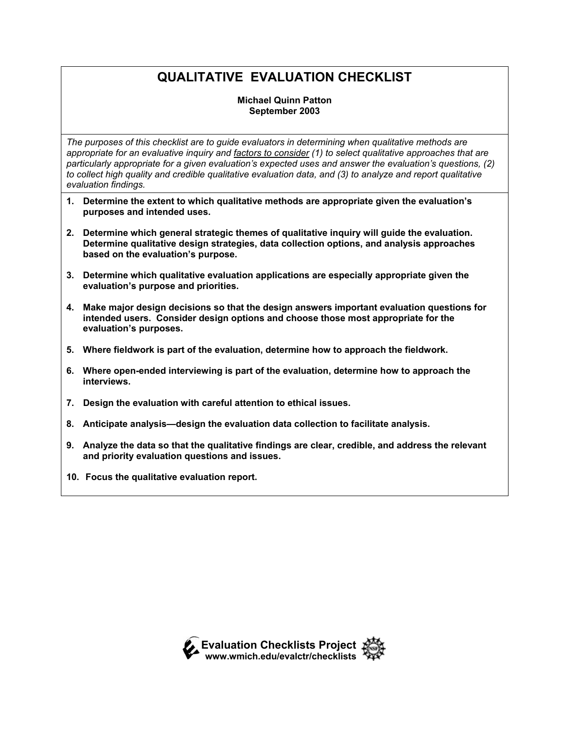# **QUALITATIVE EVALUATION CHECKLIST**

#### **Michael Quinn Patton September 2003**

*The purposes of this checklist are to guide evaluators in determining when qualitative methods are appropriate for an evaluative inquiry and factors to consider (1) to select qualitative approaches that are particularly appropriate for a given evaluation's expected uses and answer the evaluation's questions, (2) to collect high quality and credible qualitative evaluation data, and (3) to analyze and report qualitative evaluation findings.* 

- **1. Determine the extent to which qualitative methods are appropriate given the evaluation's purposes and intended uses.**
- **2. Determine which general strategic themes of qualitative inquiry will guide the evaluation. Determine qualitative design strategies, data collection options, and analysis approaches based on the evaluation's purpose.**
- **3. Determine which qualitative evaluation applications are especially appropriate given the evaluation's purpose and priorities.**
- **4. Make major design decisions so that the design answers important evaluation questions for intended users. Consider design options and choose those most appropriate for the evaluation's purposes.**
- **5. Where fieldwork is part of the evaluation, determine how to approach the fieldwork.**
- **6. Where open-ended interviewing is part of the evaluation, determine how to approach the interviews.**
- **7. Design the evaluation with careful attention to ethical issues.**
- **8. Anticipate analysis—design the evaluation data collection to facilitate analysis.**
- **9. Analyze the data so that the qualitative findings are clear, credible, and address the relevant and priority evaluation questions and issues.**
- **10. Focus the qualitative evaluation report.**

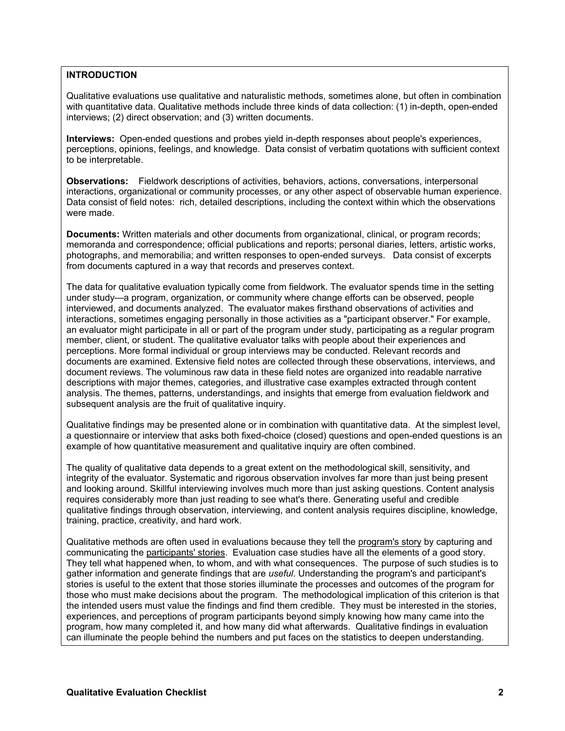# **INTRODUCTION**

Qualitative evaluations use qualitative and naturalistic methods, sometimes alone, but often in combination with quantitative data. Qualitative methods include three kinds of data collection: (1) in-depth, open-ended interviews; (2) direct observation; and (3) written documents.

**Interviews:** Open-ended questions and probes yield in-depth responses about people's experiences, perceptions, opinions, feelings, and knowledge. Data consist of verbatim quotations with sufficient context to be interpretable.

**Observations:** Fieldwork descriptions of activities, behaviors, actions, conversations, interpersonal interactions, organizational or community processes, or any other aspect of observable human experience. Data consist of field notes: rich, detailed descriptions, including the context within which the observations were made.

**Documents:** Written materials and other documents from organizational, clinical, or program records; memoranda and correspondence; official publications and reports; personal diaries, letters, artistic works, photographs, and memorabilia; and written responses to open-ended surveys. Data consist of excerpts from documents captured in a way that records and preserves context.

The data for qualitative evaluation typically come from fieldwork. The evaluator spends time in the setting under study—a program, organization, or community where change efforts can be observed, people interviewed, and documents analyzed. The evaluator makes firsthand observations of activities and interactions, sometimes engaging personally in those activities as a "participant observer." For example, an evaluator might participate in all or part of the program under study, participating as a regular program member, client, or student. The qualitative evaluator talks with people about their experiences and perceptions. More formal individual or group interviews may be conducted. Relevant records and documents are examined. Extensive field notes are collected through these observations, interviews, and document reviews. The voluminous raw data in these field notes are organized into readable narrative descriptions with major themes, categories, and illustrative case examples extracted through content analysis. The themes, patterns, understandings, and insights that emerge from evaluation fieldwork and subsequent analysis are the fruit of qualitative inquiry.

Qualitative findings may be presented alone or in combination with quantitative data. At the simplest level, a questionnaire or interview that asks both fixed-choice (closed) questions and open-ended questions is an example of how quantitative measurement and qualitative inquiry are often combined.

The quality of qualitative data depends to a great extent on the methodological skill, sensitivity, and integrity of the evaluator. Systematic and rigorous observation involves far more than just being present and looking around. Skillful interviewing involves much more than just asking questions. Content analysis requires considerably more than just reading to see what's there. Generating useful and credible qualitative findings through observation, interviewing, and content analysis requires discipline, knowledge, training, practice, creativity, and hard work.

Qualitative methods are often used in evaluations because they tell the program's story by capturing and communicating the participants' stories. Evaluation case studies have all the elements of a good story. They tell what happened when, to whom, and with what consequences. The purpose of such studies is to gather information and generate findings that are *useful*. Understanding the program's and participant's stories is useful to the extent that those stories illuminate the processes and outcomes of the program for those who must make decisions about the program. The methodological implication of this criterion is that the intended users must value the findings and find them credible. They must be interested in the stories, experiences, and perceptions of program participants beyond simply knowing how many came into the program, how many completed it, and how many did what afterwards. Qualitative findings in evaluation can illuminate the people behind the numbers and put faces on the statistics to deepen understanding.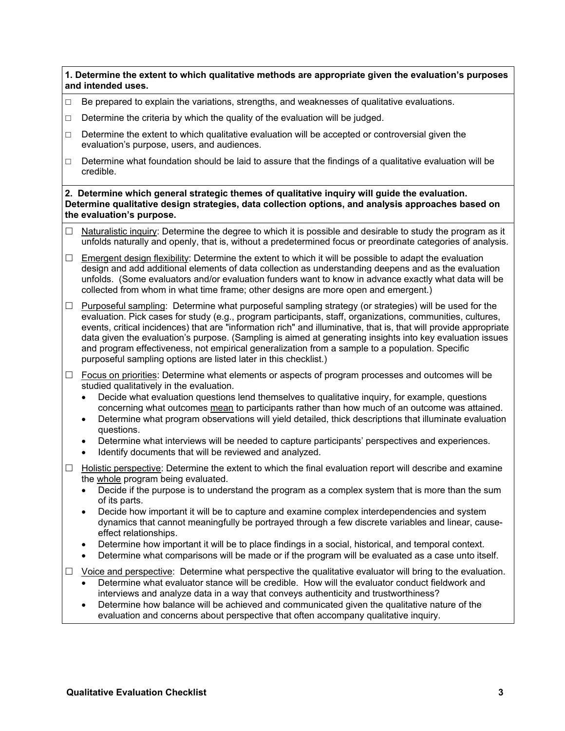**1. Determine the extent to which qualitative methods are appropriate given the evaluation's purposes and intended uses.** 

- $\Box$  Be prepared to explain the variations, strengths, and weaknesses of qualitative evaluations.
- $\Box$  Determine the criteria by which the quality of the evaluation will be judged.
- $\Box$  Determine the extent to which qualitative evaluation will be accepted or controversial given the evaluation's purpose, users, and audiences.
- $\Box$  Determine what foundation should be laid to assure that the findings of a qualitative evaluation will be credible.

**2. Determine which general strategic themes of qualitative inquiry will guide the evaluation. Determine qualitative design strategies, data collection options, and analysis approaches based on the evaluation's purpose.** 

- Naturalistic inquiry: Determine the degree to which it is possible and desirable to study the program as it unfolds naturally and openly, that is, without a predetermined focus or preordinate categories of analysis.
- $\Box$  Emergent design flexibility: Determine the extent to which it will be possible to adapt the evaluation design and add additional elements of data collection as understanding deepens and as the evaluation unfolds. (Some evaluators and/or evaluation funders want to know in advance exactly what data will be collected from whom in what time frame; other designs are more open and emergent.)
- $\Box$  Purposeful sampling: Determine what purposeful sampling strategy (or strategies) will be used for the evaluation. Pick cases for study (e.g., program participants, staff, organizations, communities, cultures, events, critical incidences) that are "information rich" and illuminative, that is, that will provide appropriate data given the evaluation's purpose. (Sampling is aimed at generating insights into key evaluation issues and program effectiveness, not empirical generalization from a sample to a population. Specific purposeful sampling options are listed later in this checklist.)
- $\Box$  Focus on priorities: Determine what elements or aspects of program processes and outcomes will be studied qualitatively in the evaluation.
	- Decide what evaluation questions lend themselves to qualitative inquiry, for example, questions concerning what outcomes mean to participants rather than how much of an outcome was attained.
	- Determine what program observations will yield detailed, thick descriptions that illuminate evaluation questions.
	- Determine what interviews will be needed to capture participants' perspectives and experiences.
	- Identify documents that will be reviewed and analyzed.
- $\Box$  Holistic perspective: Determine the extent to which the final evaluation report will describe and examine the whole program being evaluated.
	- Decide if the purpose is to understand the program as a complex system that is more than the sum of its parts.
	- Decide how important it will be to capture and examine complex interdependencies and system dynamics that cannot meaningfully be portrayed through a few discrete variables and linear, causeeffect relationships.
	- Determine how important it will be to place findings in a social, historical, and temporal context.
	- Determine what comparisons will be made or if the program will be evaluated as a case unto itself.
- $\Box$  Voice and perspective: Determine what perspective the qualitative evaluator will bring to the evaluation.
	- Determine what evaluator stance will be credible. How will the evaluator conduct fieldwork and interviews and analyze data in a way that conveys authenticity and trustworthiness?
	- Determine how balance will be achieved and communicated given the qualitative nature of the evaluation and concerns about perspective that often accompany qualitative inquiry.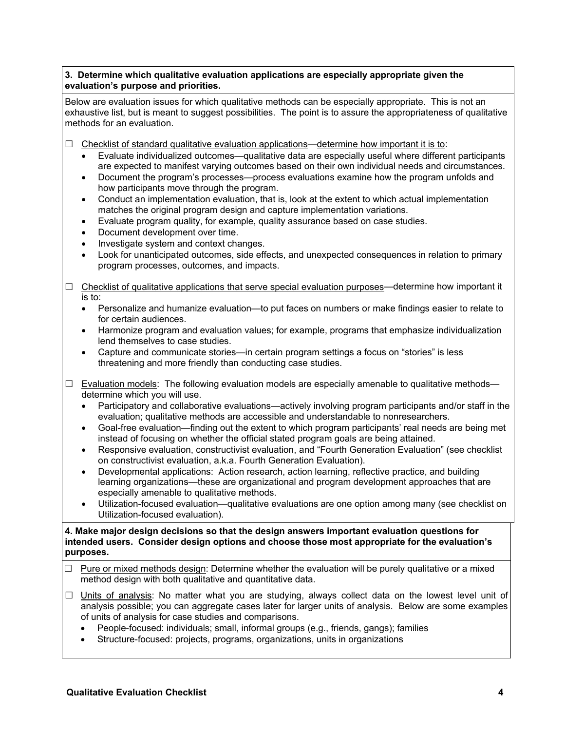### **3. Determine which qualitative evaluation applications are especially appropriate given the evaluation's purpose and priorities.**

Below are evaluation issues for which qualitative methods can be especially appropriate. This is not an exhaustive list, but is meant to suggest possibilities. The point is to assure the appropriateness of qualitative methods for an evaluation.

 $\Box$  Checklist of standard qualitative evaluation applications—determine how important it is to:

- Evaluate individualized outcomes—qualitative data are especially useful where different participants are expected to manifest varying outcomes based on their own individual needs and circumstances.
- Document the program's processes—process evaluations examine how the program unfolds and how participants move through the program.
- Conduct an implementation evaluation, that is, look at the extent to which actual implementation matches the original program design and capture implementation variations.
- Evaluate program quality, for example, quality assurance based on case studies.
- Document development over time.
- Investigate system and context changes.
- Look for unanticipated outcomes, side effects, and unexpected consequences in relation to primary program processes, outcomes, and impacts.

 $\Box$  Checklist of qualitative applications that serve special evaluation purposes—determine how important it is to:

- Personalize and humanize evaluation—to put faces on numbers or make findings easier to relate to for certain audiences.
- Harmonize program and evaluation values; for example, programs that emphasize individualization lend themselves to case studies.
- Capture and communicate stories—in certain program settings a focus on "stories" is less threatening and more friendly than conducting case studies.
- $\Box$  Evaluation models: The following evaluation models are especially amenable to qualitative methods determine which you will use.
	- Participatory and collaborative evaluations—actively involving program participants and/or staff in the evaluation; qualitative methods are accessible and understandable to nonresearchers.
	- Goal-free evaluation—finding out the extent to which program participants' real needs are being met instead of focusing on whether the official stated program goals are being attained.
	- Responsive evaluation, constructivist evaluation, and "Fourth Generation Evaluation" (see checklist on constructivist evaluation, a.k.a. Fourth Generation Evaluation).
	- Developmental applications: Action research, action learning, reflective practice, and building learning organizations—these are organizational and program development approaches that are especially amenable to qualitative methods.
	- Utilization-focused evaluation—qualitative evaluations are one option among many (see checklist on Utilization-focused evaluation).

**4. Make major design decisions so that the design answers important evaluation questions for intended users. Consider design options and choose those most appropriate for the evaluation's purposes.**

- $\Box$  Pure or mixed methods design: Determine whether the evaluation will be purely qualitative or a mixed method design with both qualitative and quantitative data.
- $\Box$  Units of analysis: No matter what you are studying, always collect data on the lowest level unit of analysis possible; you can aggregate cases later for larger units of analysis. Below are some examples of units of analysis for case studies and comparisons.
	- People-focused: individuals; small, informal groups (e.g., friends, gangs); families
	- Structure-focused: projects, programs, organizations, units in organizations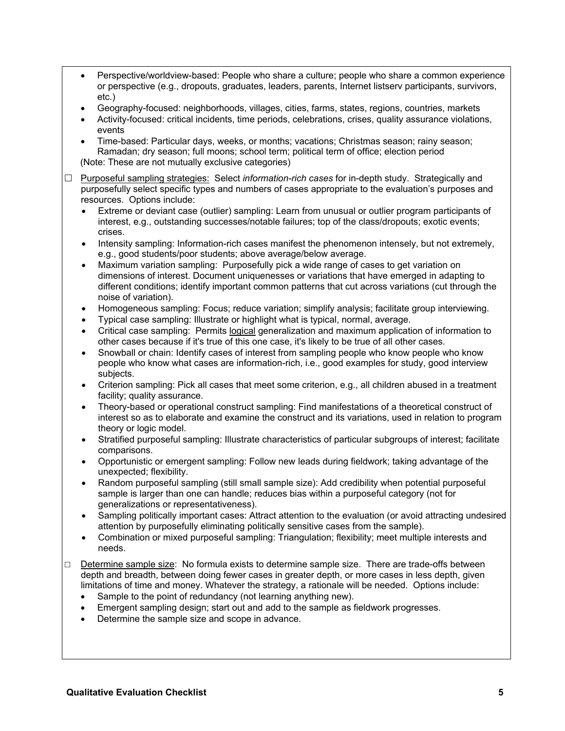Perspective/worldview-based: People who share a culture; people who share a common experience or perspective (e.g., dropouts, graduates, leaders, parents, Internet listserv participants, survivors, etc.) Geography-focused: neighborhoods, villages, cities, farms, states, regions, countries, markets Activity-focused: critical incidents, time periods, celebrations, crises, quality assurance violations, events x Time-based: Particular days, weeks, or months; vacations; Christmas season; rainy season; Ramadan; dry season; full moons; school term; political term of office; election period (Note: These are not mutually exclusive categories) □ Purposeful sampling strategies: Select *information-rich cases* for in-depth study. Strategically and purposefully select specific types and numbers of cases appropriate to the evaluation's purposes and resources. Options include: x Extreme or deviant case (outlier) sampling: Learn from unusual or outlier program participants of interest, e.g., outstanding successes/notable failures; top of the class/dropouts; exotic events; crises. Intensity sampling: Information-rich cases manifest the phenomenon intensely, but not extremely, e.g., good students/poor students; above average/below average. x Maximum variation sampling: Purposefully pick a wide range of cases to get variation on dimensions of interest. Document uniquenesses or variations that have emerged in adapting to different conditions; identify important common patterns that cut across variations (cut through the noise of variation). Homogeneous sampling: Focus; reduce variation; simplify analysis; facilitate group interviewing. Typical case sampling: Illustrate or highlight what is typical, normal, average. Critical case sampling: Permits logical generalization and maximum application of information to other cases because if it's true of this one case, it's likely to be true of all other cases. Snowball or chain: Identify cases of interest from sampling people who know people who know people who know what cases are information-rich, i.e., good examples for study, good interview subjects. Criterion sampling: Pick all cases that meet some criterion, e.g., all children abused in a treatment facility; quality assurance. x Theory-based or operational construct sampling: Find manifestations of a theoretical construct of interest so as to elaborate and examine the construct and its variations, used in relation to program theory or logic model. x Stratified purposeful sampling: Illustrate characteristics of particular subgroups of interest; facilitate comparisons. x Opportunistic or emergent sampling: Follow new leads during fieldwork; taking advantage of the unexpected; flexibility. x Random purposeful sampling (still small sample size): Add credibility when potential purposeful sample is larger than one can handle; reduces bias within a purposeful category (not for generalizations or representativeness). Sampling politically important cases: Attract attention to the evaluation (or avoid attracting undesired attention by purposefully eliminating politically sensitive cases from the sample). Combination or mixed purposeful sampling: Triangulation; flexibility; meet multiple interests and needs.  $\Box$  Determine sample size: No formula exists to determine sample size. There are trade-offs between depth and breadth, between doing fewer cases in greater depth, or more cases in less depth, given limitations of time and money. Whatever the strategy, a rationale will be needed. Options include: Sample to the point of redundancy (not learning anything new). Emergent sampling design; start out and add to the sample as fieldwork progresses. Determine the sample size and scope in advance.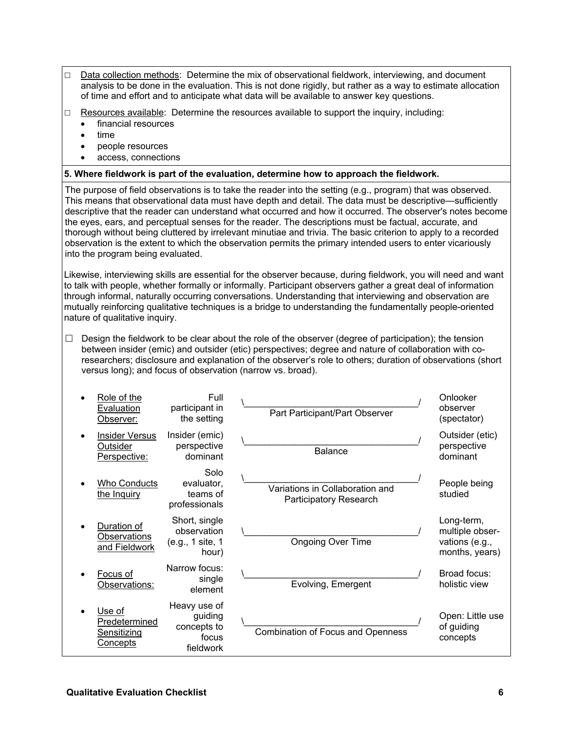- Data collection methods: Determine the mix of observational fieldwork, interviewing, and document analysis to be done in the evaluation. This is not done rigidly, but rather as a way to estimate allocation of time and effort and to anticipate what data will be available to answer key questions.
- $\Box$  Resources available: Determine the resources available to support the inquiry, including:
	- financial resources
	- time
	- people resources
	- access, connections

#### **5. Where fieldwork is part of the evaluation, determine how to approach the fieldwork.**

The purpose of field observations is to take the reader into the setting (e.g., program) that was observed. This means that observational data must have depth and detail. The data must be descriptive—sufficiently descriptive that the reader can understand what occurred and how it occurred. The observer's notes become the eyes, ears, and perceptual senses for the reader. The descriptions must be factual, accurate, and thorough without being cluttered by irrelevant minutiae and trivia. The basic criterion to apply to a recorded observation is the extent to which the observation permits the primary intended users to enter vicariously into the program being evaluated.

Likewise, interviewing skills are essential for the observer because, during fieldwork, you will need and want to talk with people, whether formally or informally. Participant observers gather a great deal of information through informal, naturally occurring conversations. Understanding that interviewing and observation are mutually reinforcing qualitative techniques is a bridge to understanding the fundamentally people-oriented nature of qualitative inquiry.

 $\Box$  Design the fieldwork to be clear about the role of the observer (degree of participation); the tension between insider (emic) and outsider (etic) perspectives; degree and nature of collaboration with coresearchers; disclosure and explanation of the observer's role to others; duration of observations (short versus long); and focus of observation (narrow vs. broad).

| Role of the<br>Evaluation<br>Observer:             | Full<br>participant in<br>the setting                        | Part Participant/Part Observer                            | Onlooker<br>observer<br>(spectator)                               |
|----------------------------------------------------|--------------------------------------------------------------|-----------------------------------------------------------|-------------------------------------------------------------------|
| <b>Insider Versus</b><br>Outsider<br>Perspective:  | Insider (emic)<br>perspective<br>dominant                    | <b>Balance</b>                                            | Outsider (etic)<br>perspective<br>dominant                        |
| Who Conducts<br>the Inquiry                        | Solo<br>evaluator,<br>teams of<br>professionals              | Variations in Collaboration and<br>Participatory Research | People being<br>studied                                           |
| Duration of<br>Observations<br>and Fieldwork       | Short, single<br>observation<br>(e.g., 1 site, 1<br>hour)    | <b>Ongoing Over Time</b>                                  | Long-term,<br>multiple obser-<br>vations (e.g.,<br>months, years) |
| Focus of<br>Observations:                          | Narrow focus:<br>single<br>element                           | Evolving, Emergent                                        | Broad focus:<br>holistic view                                     |
| Use of<br>Predetermined<br>Sensitizing<br>Concepts | Heavy use of<br>guiding<br>concepts to<br>focus<br>fieldwork | <b>Combination of Focus and Openness</b>                  | Open: Little use<br>of guiding<br>concepts                        |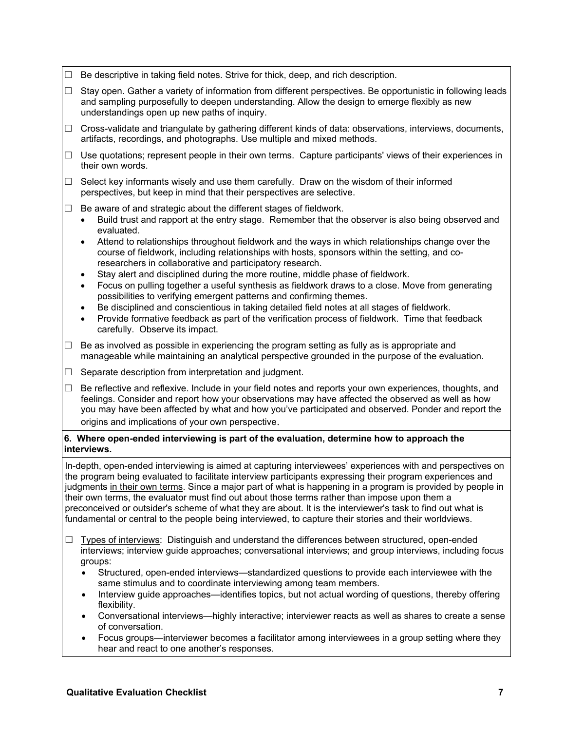| Stay open. Gather a variety of information from different perspectives. Be opportunistic in following leads<br>$\Box$<br>and sampling purposefully to deepen understanding. Allow the design to emerge flexibly as new                                                                                                                                                                                                                                                                                                                                                                                                                                                                                                                                                                                                                                                                                                                                                                                                                                                                                                                                                                      |  |  |  |  |  |  |
|---------------------------------------------------------------------------------------------------------------------------------------------------------------------------------------------------------------------------------------------------------------------------------------------------------------------------------------------------------------------------------------------------------------------------------------------------------------------------------------------------------------------------------------------------------------------------------------------------------------------------------------------------------------------------------------------------------------------------------------------------------------------------------------------------------------------------------------------------------------------------------------------------------------------------------------------------------------------------------------------------------------------------------------------------------------------------------------------------------------------------------------------------------------------------------------------|--|--|--|--|--|--|
| understandings open up new paths of inquiry.                                                                                                                                                                                                                                                                                                                                                                                                                                                                                                                                                                                                                                                                                                                                                                                                                                                                                                                                                                                                                                                                                                                                                |  |  |  |  |  |  |
| $\Box$ Cross-validate and triangulate by gathering different kinds of data: observations, interviews, documents,<br>artifacts, recordings, and photographs. Use multiple and mixed methods.                                                                                                                                                                                                                                                                                                                                                                                                                                                                                                                                                                                                                                                                                                                                                                                                                                                                                                                                                                                                 |  |  |  |  |  |  |
| Use quotations; represent people in their own terms. Capture participants' views of their experiences in<br>their own words.                                                                                                                                                                                                                                                                                                                                                                                                                                                                                                                                                                                                                                                                                                                                                                                                                                                                                                                                                                                                                                                                |  |  |  |  |  |  |
| Select key informants wisely and use them carefully. Draw on the wisdom of their informed<br>perspectives, but keep in mind that their perspectives are selective.                                                                                                                                                                                                                                                                                                                                                                                                                                                                                                                                                                                                                                                                                                                                                                                                                                                                                                                                                                                                                          |  |  |  |  |  |  |
| Be aware of and strategic about the different stages of fieldwork.<br>$\Box$<br>Build trust and rapport at the entry stage. Remember that the observer is also being observed and<br>$\bullet$<br>evaluated.<br>Attend to relationships throughout fieldwork and the ways in which relationships change over the<br>$\bullet$<br>course of fieldwork, including relationships with hosts, sponsors within the setting, and co-<br>researchers in collaborative and participatory research.<br>Stay alert and disciplined during the more routine, middle phase of fieldwork.<br>$\bullet$<br>Focus on pulling together a useful synthesis as fieldwork draws to a close. Move from generating<br>$\bullet$<br>possibilities to verifying emergent patterns and confirming themes.<br>Be disciplined and conscientious in taking detailed field notes at all stages of fieldwork.<br>$\bullet$<br>Provide formative feedback as part of the verification process of fieldwork. Time that feedback<br>$\bullet$<br>carefully. Observe its impact.                                                                                                                                             |  |  |  |  |  |  |
| Be as involved as possible in experiencing the program setting as fully as is appropriate and<br>manageable while maintaining an analytical perspective grounded in the purpose of the evaluation.                                                                                                                                                                                                                                                                                                                                                                                                                                                                                                                                                                                                                                                                                                                                                                                                                                                                                                                                                                                          |  |  |  |  |  |  |
| Separate description from interpretation and judgment.<br>$\Box$                                                                                                                                                                                                                                                                                                                                                                                                                                                                                                                                                                                                                                                                                                                                                                                                                                                                                                                                                                                                                                                                                                                            |  |  |  |  |  |  |
| Be reflective and reflexive. Include in your field notes and reports your own experiences, thoughts, and<br>$\Box$<br>feelings. Consider and report how your observations may have affected the observed as well as how<br>you may have been affected by what and how you've participated and observed. Ponder and report the<br>origins and implications of your own perspective.                                                                                                                                                                                                                                                                                                                                                                                                                                                                                                                                                                                                                                                                                                                                                                                                          |  |  |  |  |  |  |
| 6. Where open-ended interviewing is part of the evaluation, determine how to approach the<br>interviews.                                                                                                                                                                                                                                                                                                                                                                                                                                                                                                                                                                                                                                                                                                                                                                                                                                                                                                                                                                                                                                                                                    |  |  |  |  |  |  |
| In-depth, open-ended interviewing is aimed at capturing interviewees' experiences with and perspectives on<br>the program being evaluated to facilitate interview participants expressing their program experiences and<br>judgments in their own terms. Since a major part of what is happening in a program is provided by people in<br>their own terms, the evaluator must find out about those terms rather than impose upon them a<br>preconceived or outsider's scheme of what they are about. It is the interviewer's task to find out what is<br>fundamental or central to the people being interviewed, to capture their stories and their worldviews.<br>Types of interviews: Distinguish and understand the differences between structured, open-ended<br>$\Box$<br>interviews; interview guide approaches; conversational interviews; and group interviews, including focus<br>groups:<br>Structured, open-ended interviews—standardized questions to provide each interviewee with the<br>same stimulus and to coordinate interviewing among team members.<br>Interview guide approaches—identifies topics, but not actual wording of questions, thereby offering<br>$\bullet$ |  |  |  |  |  |  |
| flexibility.<br>Conversational interviews-highly interactive; interviewer reacts as well as shares to create a sense<br>$\bullet$<br>of conversation.                                                                                                                                                                                                                                                                                                                                                                                                                                                                                                                                                                                                                                                                                                                                                                                                                                                                                                                                                                                                                                       |  |  |  |  |  |  |
| Focus groups—interviewer becomes a facilitator among interviewees in a group setting where they<br>hear and react to one another's responses.                                                                                                                                                                                                                                                                                                                                                                                                                                                                                                                                                                                                                                                                                                                                                                                                                                                                                                                                                                                                                                               |  |  |  |  |  |  |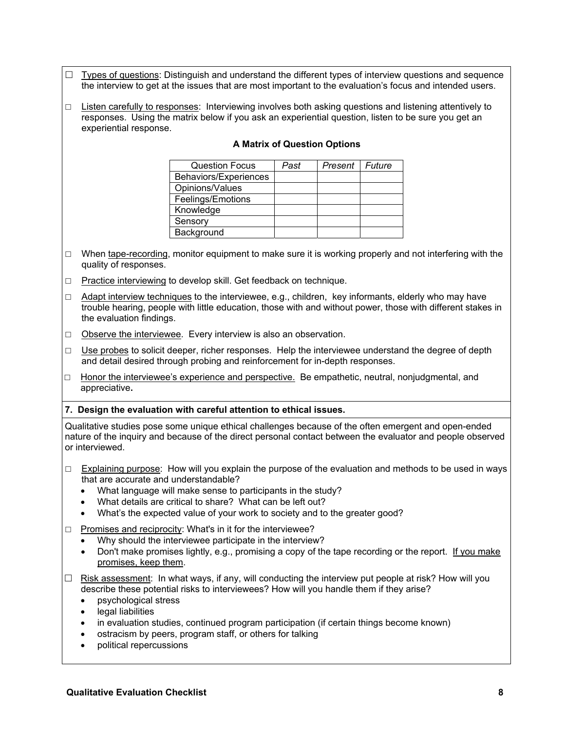- $\Box$  Types of questions: Distinguish and understand the different types of interview questions and sequence the interview to get at the issues that are most important to the evaluation's focus and intended users.
- $\Box$  Listen carefully to responses: Interviewing involves both asking questions and listening attentively to responses. Using the matrix below if you ask an experiential question, listen to be sure you get an experiential response.

| <b>Question Focus</b> | Past | Present | Future |
|-----------------------|------|---------|--------|
| Behaviors/Experiences |      |         |        |
| Opinions/Values       |      |         |        |
| Feelings/Emotions     |      |         |        |
| Knowledge             |      |         |        |
| Sensory               |      |         |        |
| Background            |      |         |        |

#### **A Matrix of Question Options**

- $\Box$  When tape-recording, monitor equipment to make sure it is working properly and not interfering with the quality of responses.
- $\Box$  Practice interviewing to develop skill. Get feedback on technique.
- $\Box$  Adapt interview techniques to the interviewee, e.g., children, key informants, elderly who may have trouble hearing, people with little education, those with and without power, those with different stakes in the evaluation findings.
- Observe the interviewee. Every interview is also an observation.
- $\Box$  Use probes to solicit deeper, richer responses. Help the interviewee understand the degree of depth and detail desired through probing and reinforcement for in-depth responses.
- □ Honor the interviewee's experience and perspective. Be empathetic, neutral, nonjudgmental, and appreciative**.**

#### **7. Design the evaluation with careful attention to ethical issues.**

Qualitative studies pose some unique ethical challenges because of the often emergent and open-ended nature of the inquiry and because of the direct personal contact between the evaluator and people observed or interviewed.

- $\Box$  Explaining purpose: How will you explain the purpose of the evaluation and methods to be used in ways that are accurate and understandable?
	- What language will make sense to participants in the study?
	- What details are critical to share? What can be left out?
	- What's the expected value of your work to society and to the greater good?
- $\Box$  Promises and reciprocity: What's in it for the interviewee?
	- Why should the interviewee participate in the interview?
	- Don't make promises lightly, e.g., promising a copy of the tape recording or the report. If you make promises, keep them.
- □ Risk assessment: In what ways, if any, will conducting the interview put people at risk? How will you describe these potential risks to interviewees? How will you handle them if they arise?
	- psychological stress
	- legal liabilities
	- in evaluation studies, continued program participation (if certain things become known)
	- ostracism by peers, program staff, or others for talking
	- political repercussions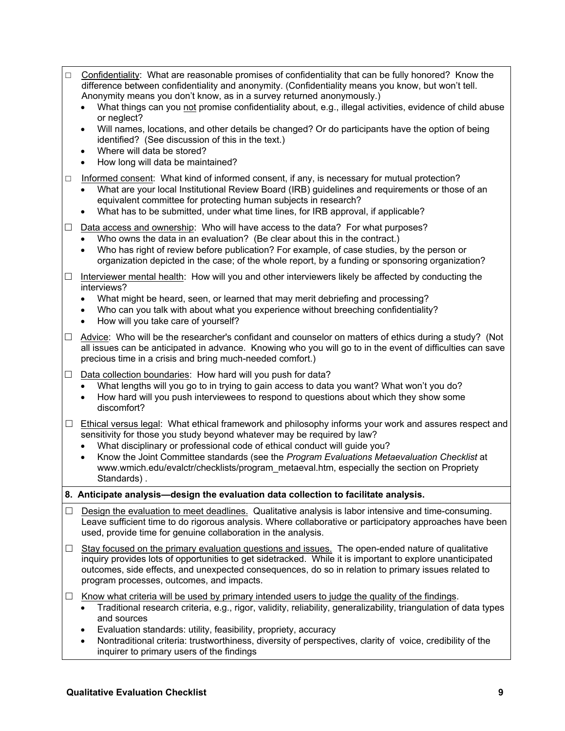- $\Box$  Confidentiality: What are reasonable promises of confidentiality that can be fully honored? Know the difference between confidentiality and anonymity. (Confidentiality means you know, but won't tell. Anonymity means you don't know, as in a survey returned anonymously.)
	- What things can you not promise confidentiality about, e.g., illegal activities, evidence of child abuse or neglect?
	- Will names, locations, and other details be changed? Or do participants have the option of being identified? (See discussion of this in the text.)
	- Where will data be stored?
	- x How long will data be maintained?
- $\Box$  Informed consent: What kind of informed consent, if any, is necessary for mutual protection?
	- What are your local Institutional Review Board (IRB) guidelines and requirements or those of an equivalent committee for protecting human subjects in research?
	- What has to be submitted, under what time lines, for IRB approval, if applicable?
- $\Box$  Data access and ownership: Who will have access to the data? For what purposes?
	- Who owns the data in an evaluation? (Be clear about this in the contract.)
	- Who has right of review before publication? For example, of case studies, by the person or organization depicted in the case; of the whole report, by a funding or sponsoring organization?
- $\Box$  Interviewer mental health: How will you and other interviewers likely be affected by conducting the interviews?
	- What might be heard, seen, or learned that may merit debriefing and processing?
	- x Who can you talk with about what you experience without breeching confidentiality?
	- How will you take care of yourself?
- $\Box$  Advice: Who will be the researcher's confidant and counselor on matters of ethics during a study? (Not all issues can be anticipated in advance. Knowing who you will go to in the event of difficulties can save precious time in a crisis and bring much-needed comfort.)
- $\Box$  Data collection boundaries: How hard will you push for data?
	- What lengths will you go to in trying to gain access to data you want? What won't you do?
	- How hard will you push interviewees to respond to questions about which they show some discomfort?
- $\Box$  Ethical versus legal: What ethical framework and philosophy informs your work and assures respect and sensitivity for those you study beyond whatever may be required by law?
	- What disciplinary or professional code of ethical conduct will guide you?
	- x Know the Joint Committee standards (see the *Program Evaluations Metaevaluation Checklist* at www.wmich.edu/evalctr/checklists/program\_metaeval.htm, especially the section on Propriety Standards) .

# **8. Anticipate analysis—design the evaluation data collection to facilitate analysis.**

- $\Box$  Design the evaluation to meet deadlines. Qualitative analysis is labor intensive and time-consuming. Leave sufficient time to do rigorous analysis. Where collaborative or participatory approaches have been used, provide time for genuine collaboration in the analysis.
- $\Box$  Stay focused on the primary evaluation questions and issues. The open-ended nature of qualitative inquiry provides lots of opportunities to get sidetracked. While it is important to explore unanticipated outcomes, side effects, and unexpected consequences, do so in relation to primary issues related to program processes, outcomes, and impacts.
- $\Box$  Know what criteria will be used by primary intended users to judge the quality of the findings.
	- Traditional research criteria, e.g., rigor, validity, reliability, generalizability, triangulation of data types and sources
	- Evaluation standards: utility, feasibility, propriety, accuracy
	- Nontraditional criteria: trustworthiness, diversity of perspectives, clarity of voice, credibility of the inquirer to primary users of the findings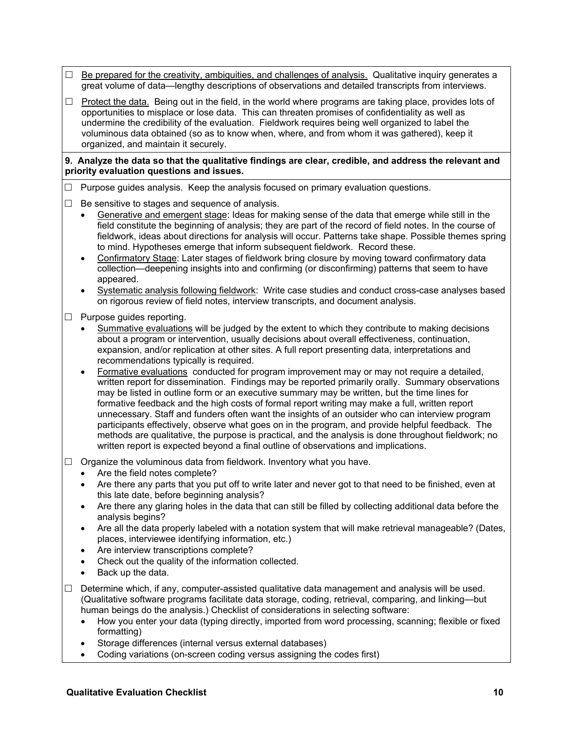- $\Box$  Be prepared for the creativity, ambiguities, and challenges of analysis. Qualitative inquiry generates a great volume of data—lengthy descriptions of observations and detailed transcripts from interviews.
- $\Box$  Protect the data. Being out in the field, in the world where programs are taking place, provides lots of opportunities to misplace or lose data. This can threaten promises of confidentiality as well as undermine the credibility of the evaluation. Fieldwork requires being well organized to label the voluminous data obtained (so as to know when, where, and from whom it was gathered), keep it organized, and maintain it securely.

#### **9. Analyze the data so that the qualitative findings are clear, credible, and address the relevant and priority evaluation questions and issues.**

- $\Box$  Purpose guides analysis. Keep the analysis focused on primary evaluation questions.
- $\Box$  Be sensitive to stages and sequence of analysis.
	- Generative and emergent stage: Ideas for making sense of the data that emerge while still in the field constitute the beginning of analysis; they are part of the record of field notes. In the course of fieldwork, ideas about directions for analysis will occur. Patterns take shape. Possible themes spring to mind. Hypotheses emerge that inform subsequent fieldwork. Record these.
	- Confirmatory Stage: Later stages of fieldwork bring closure by moving toward confirmatory data collection—deepening insights into and confirming (or disconfirming) patterns that seem to have appeared.
	- Systematic analysis following fieldwork: Write case studies and conduct cross-case analyses based on rigorous review of field notes, interview transcripts, and document analysis.
- $\Box$  Purpose guides reporting.
	- Summative evaluations will be judged by the extent to which they contribute to making decisions about a program or intervention, usually decisions about overall effectiveness, continuation, expansion, and/or replication at other sites. A full report presenting data, interpretations and recommendations typically is required.
	- Formative evaluations conducted for program improvement may or may not require a detailed, written report for dissemination. Findings may be reported primarily orally. Summary observations may be listed in outline form or an executive summary may be written, but the time lines for formative feedback and the high costs of formal report writing may make a full, written report unnecessary. Staff and funders often want the insights of an outsider who can interview program participants effectively, observe what goes on in the program, and provide helpful feedback. The methods are qualitative, the purpose is practical, and the analysis is done throughout fieldwork; no written report is expected beyond a final outline of observations and implications.
- $\Box$  Organize the voluminous data from fieldwork. Inventory what you have.
	- Are the field notes complete?
	- Are there any parts that you put off to write later and never got to that need to be finished, even at this late date, before beginning analysis?
	- Are there any glaring holes in the data that can still be filled by collecting additional data before the analysis begins?
	- Are all the data properly labeled with a notation system that will make retrieval manageable? (Dates, places, interviewee identifying information, etc.)
	- Are interview transcriptions complete?
	- Check out the quality of the information collected.
	- Back up the data.
- $\Box$  Determine which, if any, computer-assisted qualitative data management and analysis will be used. (Qualitative software programs facilitate data storage, coding, retrieval, comparing, and linking—but human beings do the analysis.) Checklist of considerations in selecting software:
	- How you enter your data (typing directly, imported from word processing, scanning; flexible or fixed formatting)
	- Storage differences (internal versus external databases)
	- Coding variations (on-screen coding versus assigning the codes first)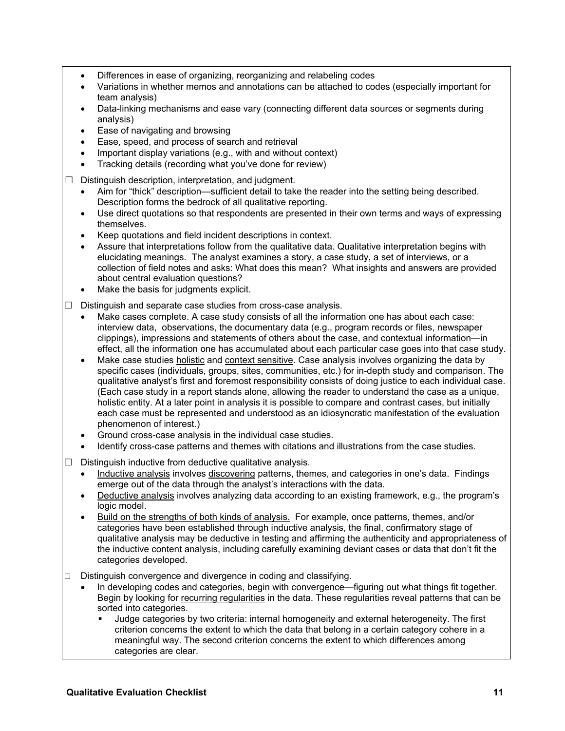- Differences in ease of organizing, reorganizing and relabeling codes
- x Variations in whether memos and annotations can be attached to codes (especially important for team analysis)
- Data-linking mechanisms and ease vary (connecting different data sources or segments during analysis)
- Ease of navigating and browsing
- Ease, speed, and process of search and retrieval
- Important display variations (e.g., with and without context)
- Tracking details (recording what you've done for review)

 $\Box$  Distinguish description, interpretation, and judgment.

- Aim for "thick" description—sufficient detail to take the reader into the setting being described. Description forms the bedrock of all qualitative reporting.
- Use direct quotations so that respondents are presented in their own terms and ways of expressing themselves.
- Keep quotations and field incident descriptions in context.
- Assure that interpretations follow from the qualitative data. Qualitative interpretation begins with elucidating meanings. The analyst examines a story, a case study, a set of interviews, or a collection of field notes and asks: What does this mean? What insights and answers are provided about central evaluation questions?
- Make the basis for judgments explicit.

 $\Box$  Distinguish and separate case studies from cross-case analysis.

- Make cases complete. A case study consists of all the information one has about each case: interview data, observations, the documentary data (e.g., program records or files, newspaper clippings), impressions and statements of others about the case, and contextual information—in effect, all the information one has accumulated about each particular case goes into that case study.
- Make case studies holistic and context sensitive. Case analysis involves organizing the data by specific cases (individuals, groups, sites, communities, etc.) for in-depth study and comparison. The qualitative analyst's first and foremost responsibility consists of doing justice to each individual case. (Each case study in a report stands alone, allowing the reader to understand the case as a unique, holistic entity. At a later point in analysis it is possible to compare and contrast cases, but initially each case must be represented and understood as an idiosyncratic manifestation of the evaluation phenomenon of interest.)
- Ground cross-case analysis in the individual case studies.
- Identify cross-case patterns and themes with citations and illustrations from the case studies.
- $\Box$  Distinguish inductive from deductive qualitative analysis.
	- Inductive analysis involves discovering patterns, themes, and categories in one's data. Findings emerge out of the data through the analyst's interactions with the data.
	- Deductive analysis involves analyzing data according to an existing framework, e.g., the program's logic model.
	- Build on the strengths of both kinds of analysis. For example, once patterns, themes, and/or categories have been established through inductive analysis, the final, confirmatory stage of qualitative analysis may be deductive in testing and affirming the authenticity and appropriateness of the inductive content analysis, including carefully examining deviant cases or data that don't fit the categories developed.

 $\Box$  Distinguish convergence and divergence in coding and classifying.

- In developing codes and categories, begin with convergence—figuring out what things fit together. Begin by looking for recurring regularities in the data. These regularities reveal patterns that can be sorted into categories.
	- Judge categories by two criteria: internal homogeneity and external heterogeneity. The first criterion concerns the extent to which the data that belong in a certain category cohere in a meaningful way. The second criterion concerns the extent to which differences among categories are clear.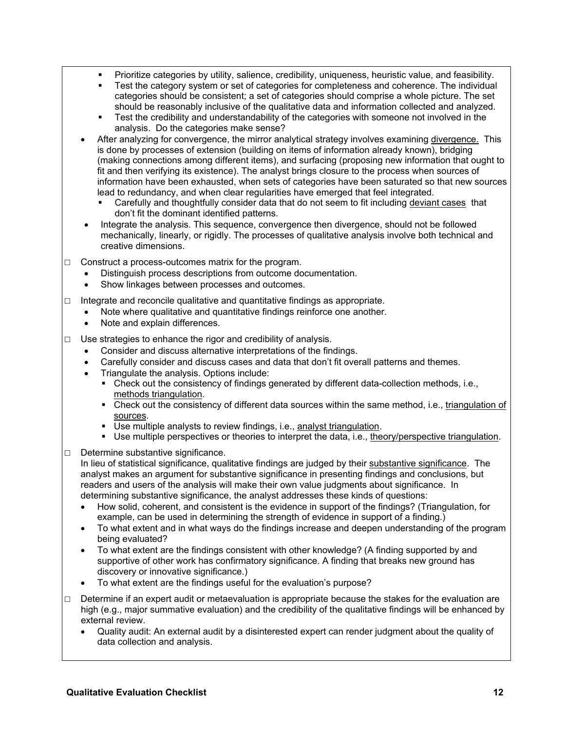- Prioritize categories by utility, salience, credibility, uniqueness, heuristic value, and feasibility.
- Test the category system or set of categories for completeness and coherence. The individual categories should be consistent; a set of categories should comprise a whole picture. The set should be reasonably inclusive of the qualitative data and information collected and analyzed.
- Test the credibility and understandability of the categories with someone not involved in the analysis. Do the categories make sense?
- After analyzing for convergence, the mirror analytical strategy involves examining divergence. This is done by processes of extension (building on items of information already known), bridging (making connections among different items), and surfacing (proposing new information that ought to fit and then verifying its existence). The analyst brings closure to the process when sources of information have been exhausted, when sets of categories have been saturated so that new sources lead to redundancy, and when clear regularities have emerged that feel integrated.
	- Carefully and thoughtfully consider data that do not seem to fit including deviant cases that don't fit the dominant identified patterns.
- Integrate the analysis. This sequence, convergence then divergence, should not be followed mechanically, linearly, or rigidly. The processes of qualitative analysis involve both technical and creative dimensions.
- $\Box$  Construct a process-outcomes matrix for the program.
	- Distinguish process descriptions from outcome documentation.
	- Show linkages between processes and outcomes.
- $\Box$  Integrate and reconcile qualitative and quantitative findings as appropriate.
	- Note where qualitative and quantitative findings reinforce one another.
	- Note and explain differences.
- $\Box$  Use strategies to enhance the rigor and credibility of analysis.
	- Consider and discuss alternative interpretations of the findings.
	- Carefully consider and discuss cases and data that don't fit overall patterns and themes.
	- Triangulate the analysis. Options include:
		- Check out the consistency of findings generated by different data-collection methods, i.e., methods triangulation.
		- Check out the consistency of different data sources within the same method, i.e., triangulation of sources.
		- Use multiple analysts to review findings, i.e., analyst triangulation.
		- Use multiple perspectives or theories to interpret the data, i.e., theory/perspective triangulation.
- $\Box$  Determine substantive significance.

In lieu of statistical significance, qualitative findings are judged by their substantive significance. The analyst makes an argument for substantive significance in presenting findings and conclusions, but readers and users of the analysis will make their own value judgments about significance. In determining substantive significance, the analyst addresses these kinds of questions:

- How solid, coherent, and consistent is the evidence in support of the findings? (Triangulation, for example, can be used in determining the strength of evidence in support of a finding.)
- To what extent and in what ways do the findings increase and deepen understanding of the program being evaluated?
- To what extent are the findings consistent with other knowledge? (A finding supported by and supportive of other work has confirmatory significance. A finding that breaks new ground has discovery or innovative significance.)
- To what extent are the findings useful for the evaluation's purpose?
- $\Box$  Determine if an expert audit or metaevaluation is appropriate because the stakes for the evaluation are high (e.g., major summative evaluation) and the credibility of the qualitative findings will be enhanced by external review.
	- Quality audit: An external audit by a disinterested expert can render judgment about the quality of data collection and analysis.